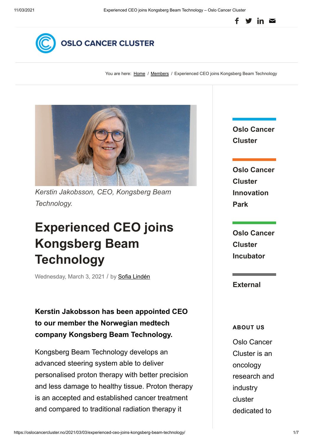



You are here: [Home](https://oslocancercluster.no/) / [Members](https://oslocancercluster.no/category/members/) / Experienced CEO joins Kongsberg Beam Technology



*Kerstin Jakobsson, CEO, Kongsberg Beam Technology.*

# **[Experienced CEO joins](https://oslocancercluster.no/2021/03/03/experienced-ceo-joins-kongsberg-beam-technology/) Kongsberg Beam Technology**

Wednesday, March 3, 2021 / by Sofia [Lindén](https://oslocancercluster.no/author/sofia/)

**Kerstin Jakobsson has been appointed CEO to our member the Norwegian medtech company Kongsberg Beam Technology.**

Kongsberg Beam Technology develops an advanced steering system able to deliver personalised proton therapy with better precision and less damage to healthy tissue. Proton therapy is an accepted and established cancer treatment and compared to traditional radiation therapy it

**Oslo Cancer Cluster**

**Oslo Cancer Cluster Innovation Park**

**Oslo Cancer Cluster Incubator**

**External**

**ABOUT US**

Oslo Cancer Cluster is an oncology research and industry cluster dedicated to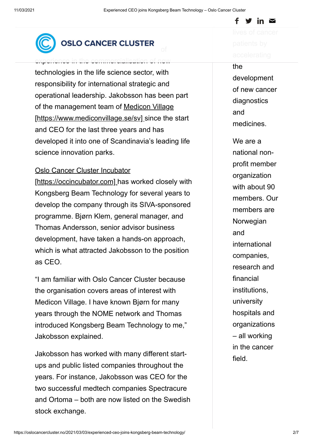

## OSLO CANCER CLUSTER

erience in the commercialisation of new

technologies in the life science sector, with responsibility for international strategic and operational leadership. Jakobsson has been part of the management team of Medicon Village [\[https://www.mediconvillage.se/sv\] since the](https://www.mediconvillage.se/sv) start and CEO for the last three years and has developed it into one of Scandinavia's leading life science innovation parks.

#### [Oslo Cancer Cluster Incubator](https://occincubator.com/)

[https://occincubator.com] has worked closely with Kongsberg Beam Technology for several years to develop the company through its SIVA-sponsored programme. Bjørn Klem, general manager, and Thomas Andersson, senior advisor business development, have taken a hands-on approach, which is what attracted Jakobsson to the position as CEO.

"I am familiar with Oslo Cancer Cluster because the organisation covers areas of interest with Medicon Village. I have known Bjørn for many years through the NOME network and Thomas introduced Kongsberg Beam Technology to me," Jakobsson explained.

Jakobsson has worked with many different startups and public listed companies throughout the years. For instance, Jakobsson was CEO for the two successful medtech companies Spectracure and Ortoma – both are now listed on the Swedish stock exchange.

f  $\blacktriangleright$  in  $\simeq$ 

the development of new cancer diagnostics and medicines.

We are a national nonprofit member organization with about 90 members. Our members are **Norwegian** and international companies, research and financial institutions, university hospitals and organizations – all working in the cancer field.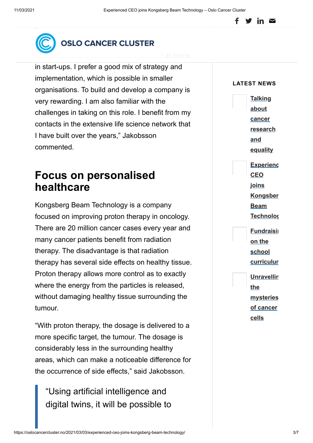#### in  $\mathbf{\Sigma}$



#### **OSLO CANCER CLUSTER**

in start-ups. I prefer a good mix of strategy and implementation, which is possible in smaller organisations. To build and develop a company is very rewarding. I am also familiar with the challenges in taking on this role. I benefit from my contacts in the extensive life science network that I have built over the years," Jakobsson commented.

## **Focus on personalised healthcare**

Kongsberg Beam Technology is a company focused on improving proton therapy in oncology. There are 20 million cancer cases every year and many cancer patients benefit from radiation therapy. The disadvantage is that radiation therapy has several side effects on healthy tissue. Proton therapy allows more control as to exactly where the energy from the particles is released, without damaging healthy tissue surrounding the tumour.

"With proton therapy, the dosage is delivered to a more specific target, the tumour. The dosage is considerably less in the surrounding healthy areas, which can make a noticeable difference for the occurrence of side effects," said Jakobsson.

"Using artificial intelligence and digital twins, it will be possible to

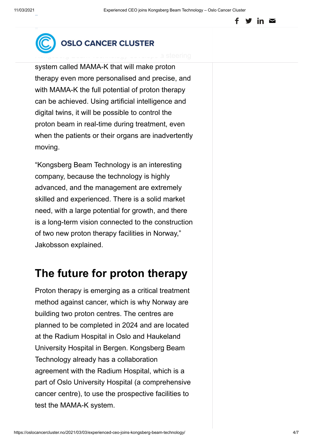



[Kongsberg Beam Technology develops a](https://oslocancercluster.no/) steering

system called MAMA-K that will make proton therapy even more personalised and precise, and with MAMA-K the full potential of proton therapy can be achieved. Using artificial intelligence and digital twins, it will be possible to control the proton beam in real-time during treatment, even when the patients or their organs are inadvertently moving.

"Kongsberg Beam Technology is an interesting company, because the technology is highly advanced, and the management are extremely skilled and experienced. There is a solid market need, with a large potential for growth, and there is a long-term vision connected to the construction of two new proton therapy facilities in Norway," Jakobsson explained.

### **The future for proton therapy**

Proton therapy is emerging as a critical treatment method against cancer, which is why Norway are building two proton centres. The centres are planned to be completed in 2024 and are located at the Radium Hospital in Oslo and Haukeland University Hospital in Bergen. Kongsberg Beam Technology already has a collaboration agreement with the Radium Hospital, which is a part of Oslo University Hospital (a comprehensive cancer centre), to use the prospective facilities to test the MAMA-K system.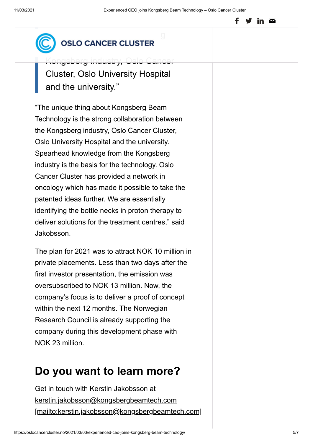#### in  $\mathbf{\Sigma}$

#### Beam Technology is the strong  $\omega$  ose cancer crossed

Kongsberg industry, Oslo Cancer Cluster, Oslo University Hospital and the university."

"The unique thing about Kongsberg Beam Technology is the strong collaboration between the Kongsberg industry, Oslo Cancer Cluster, Oslo University Hospital and the university. Spearhead knowledge from the Kongsberg industry is the basis for the technology. Oslo Cancer Cluster has provided a network in oncology which has made it possible to take the patented ideas further. We are essentially identifying the bottle necks in proton therapy to deliver solutions for the treatment centres," said Jakobsson.

The plan for 2021 was to attract NOK 10 million in private placements. Less than two days after the first investor presentation, the emission was oversubscribed to NOK 13 million. Now, the company's focus is to deliver a proof of concept within the next 12 months. The Norwegian Research Council is already supporting the company during this development phase with NOK 23 million.

# **Do you want to learn more?**

Get in touch with Kerstin Jakobsson at kerstin.jakobsson@kongsbergbeamtech.com [\[mailto:kerstin.jakobsson@kongsbergbeamtech.com\]](mailto:kerstin.jakobsson@kongsbergbeamtech.com)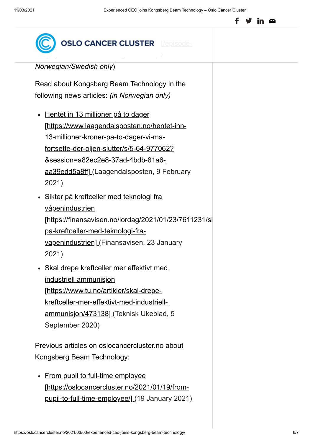in  $\mathbf{\Sigma}$ 



*Norwegian/Swedish only*)

Read about Kongsberg Beam Technology in the following news articles: *(in Norwegian only)*

- Hentet in 13 millioner på to dager [https://www.laagendalsposten.no/hentet-inn-13-millioner-kroner-pa-to-dager-vi-mafortsette-der-oljen-slutter/s/5-64-977062? &session=a82ec2e8-37ad-4bdb-81a6 [aa39edd5a8ff\] \(Laagendalsposten, 9 Februar](https://www.laagendalsposten.no/hentet-inn-13-millioner-kroner-pa-to-dager-vi-ma-fortsette-der-oljen-slutter/s/5-64-977062?&session=a82ec2e8-37ad-4bdb-81a6-aa39edd5a8ff)y 2021)
- Sikter på kreftceller med teknologi fra våpenindustrien [\[https://finansavisen.no/lordag/2021/01/23/7611231/si](https://finansavisen.no/lordag/2021/01/23/7611231/sikter-pa-kreftceller-med-teknologi-fra-vapenindustrien) pa-kreftceller-med-teknologi-fravapenindustrien] (Finansavisen, 23 January 2021)
- [Skal drepe kreftceller mer effektivt med](https://www.tu.no/artikler/skal-drepe-kreftceller-mer-effektivt-med-industriell-ammunisjon/473138) industriell ammunisjon [https://www.tu.no/artikler/skal-drepekreftceller-mer-effektivt-med-industriellammunisjon/473138] (Teknisk Ukeblad, 5 September 2020)

Previous articles on oslocancercluster.no about Kongsberg Beam Technology:

• From pupil to full-time employee [\[https://oslocancercluster.no/2021/01/19/from](https://oslocancercluster.no/2021/01/19/from-pupil-to-full-time-employee/)pupil-to-full-time-employee/] (19 January 2021)